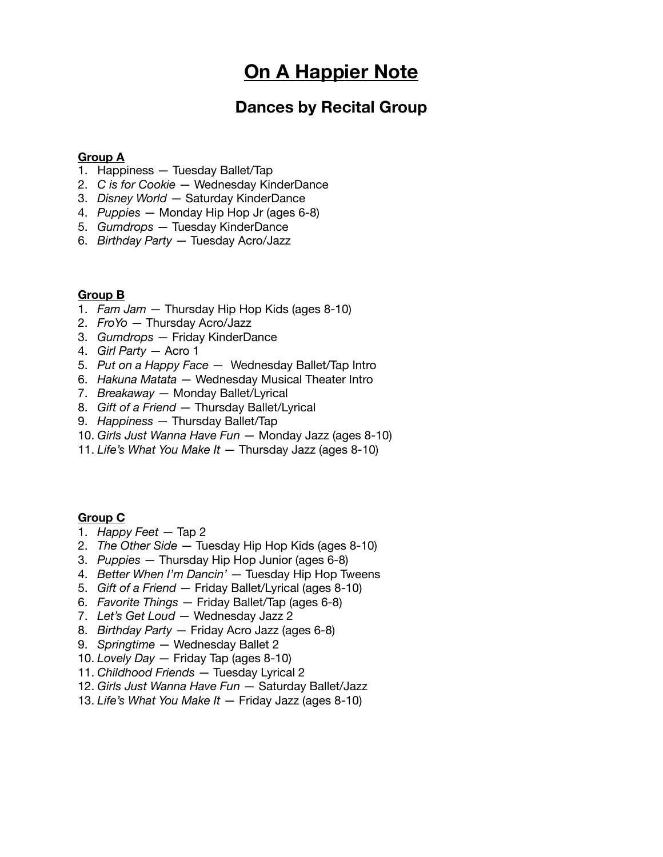# **On A Happier Note**

## **Dances by Recital Group**

#### **Group A**

- 1. Happiness Tuesday Ballet/Tap
- 2. *C is for Cookie* Wednesday KinderDance
- 3. *Disney World*  Saturday KinderDance
- 4. *Puppies*  Monday Hip Hop Jr (ages 6-8)
- 5. *Gumdrops* Tuesday KinderDance
- 6. *Birthday Party* Tuesday Acro/Jazz

#### **Group B**

- 1. *Fam Jam* Thursday Hip Hop Kids (ages 8-10)
- 2. *FroYo* Thursday Acro/Jazz
- 3. *Gumdrops* Friday KinderDance
- 4. *Girl Party* Acro 1
- 5. *Put on a Happy Face* Wednesday Ballet/Tap Intro
- 6. *Hakuna Matata* Wednesday Musical Theater Intro
- 7. *Breakaway* Monday Ballet/Lyrical
- 8. *Gift of a Friend* Thursday Ballet/Lyrical
- 9. *Happiness* Thursday Ballet/Tap
- 10. *Girls Just Wanna Have Fun* Monday Jazz (ages 8-10)
- 11. *Life's What You Make It* Thursday Jazz (ages 8-10)

#### **Group C**

- 1. *Happy Feet* Tap 2
- 2. *The Other Side* Tuesday Hip Hop Kids (ages 8-10)
- 3. *Puppies* Thursday Hip Hop Junior (ages 6-8)
- 4. *Better When I'm Dancin'* Tuesday Hip Hop Tweens
- 5. *Gift of a Friend* Friday Ballet/Lyrical (ages 8-10)
- 6. *Favorite Things* Friday Ballet/Tap (ages 6-8)
- 7. *Let's Get Loud* Wednesday Jazz 2
- 8. *Birthday Party* Friday Acro Jazz (ages 6-8)
- 9. *Springtime* Wednesday Ballet 2
- 10. *Lovely Day*  Friday Tap (ages 8-10)
- 11. *Childhood Friends* Tuesday Lyrical 2
- 12. *Girls Just Wanna Have Fun* Saturday Ballet/Jazz
- 13. *Life's What You Make It* Friday Jazz (ages 8-10)